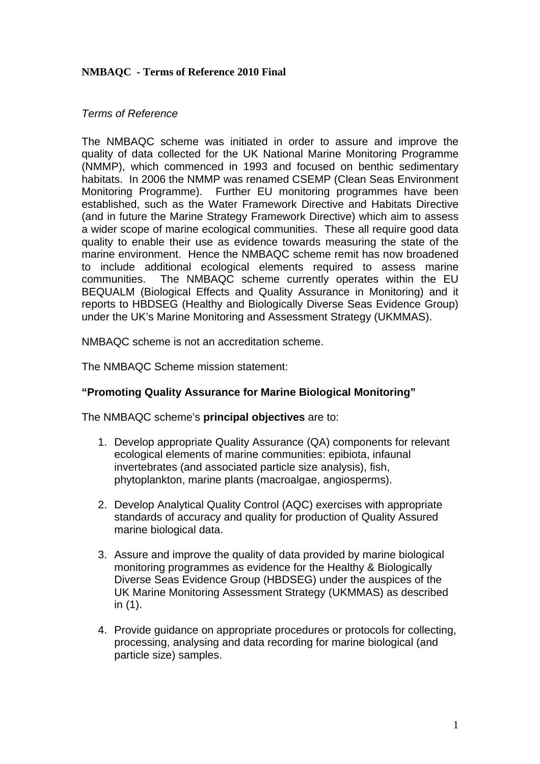## **NMBAQC - Terms of Reference 2010 Final**

#### *Terms of Reference*

The NMBAQC scheme was initiated in order to assure and improve the quality of data collected for the UK National Marine Monitoring Programme (NMMP), which commenced in 1993 and focused on benthic sedimentary habitats. In 2006 the NMMP was renamed CSEMP (Clean Seas Environment Monitoring Programme). Further EU monitoring programmes have been established, such as the Water Framework Directive and Habitats Directive (and in future the Marine Strategy Framework Directive) which aim to assess a wider scope of marine ecological communities. These all require good data quality to enable their use as evidence towards measuring the state of the marine environment. Hence the NMBAQC scheme remit has now broadened to include additional ecological elements required to assess marine communities. The NMBAQC scheme currently operates within the EU BEQUALM (Biological Effects and Quality Assurance in Monitoring) and it reports to HBDSEG (Healthy and Biologically Diverse Seas Evidence Group) under the UK's Marine Monitoring and Assessment Strategy (UKMMAS).

NMBAQC scheme is not an accreditation scheme.

The NMBAQC Scheme mission statement:

## **"Promoting Quality Assurance for Marine Biological Monitoring"**

The NMBAQC scheme's **principal objectives** are to:

- 1. Develop appropriate Quality Assurance (QA) components for relevant ecological elements of marine communities: epibiota, infaunal invertebrates (and associated particle size analysis), fish, phytoplankton, marine plants (macroalgae, angiosperms).
- 2. Develop Analytical Quality Control (AQC) exercises with appropriate standards of accuracy and quality for production of Quality Assured marine biological data.
- 3. Assure and improve the quality of data provided by marine biological monitoring programmes as evidence for the Healthy & Biologically Diverse Seas Evidence Group (HBDSEG) under the auspices of the UK Marine Monitoring Assessment Strategy (UKMMAS) as described in (1).
- 4. Provide guidance on appropriate procedures or protocols for collecting, processing, analysing and data recording for marine biological (and particle size) samples.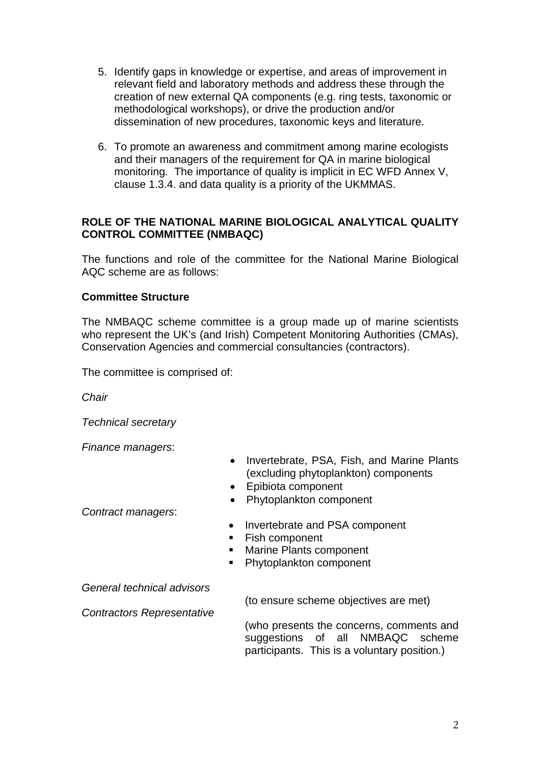- 5. Identify gaps in knowledge or expertise, and areas of improvement in relevant field and laboratory methods and address these through the creation of new external QA components (e.g. ring tests, taxonomic or methodological workshops), or drive the production and/or dissemination of new procedures, taxonomic keys and literature.
- 6. To promote an awareness and commitment among marine ecologists and their managers of the requirement for QA in marine biological monitoring. The importance of quality is implicit in EC WFD Annex V, clause 1.3.4. and data quality is a priority of the UKMMAS.

# **ROLE OF THE NATIONAL MARINE BIOLOGICAL ANALYTICAL QUALITY CONTROL COMMITTEE (NMBAQC)**

The functions and role of the committee for the National Marine Biological AQC scheme are as follows:

## **Committee Structure**

The NMBAQC scheme committee is a group made up of marine scientists who represent the UK's (and Irish) Competent Monitoring Authorities (CMAs), Conservation Agencies and commercial consultancies (contractors).

The committee is comprised of:

*Chair* 

*Technical secretary* 

*Finance managers*:

- Invertebrate, PSA, Fish, and Marine Plants (excluding phytoplankton) components
- Epibiota component
- Phytoplankton component

*Contract managers*:

- Invertebrate and PSA component
- Fish component
- Marine Plants component
- Phytoplankton component

*General technical advisors*

*Contractors Representative*

(to ensure scheme objectives are met)

(who presents the concerns, comments and suggestions of all NMBAQC scheme participants. This is a voluntary position.)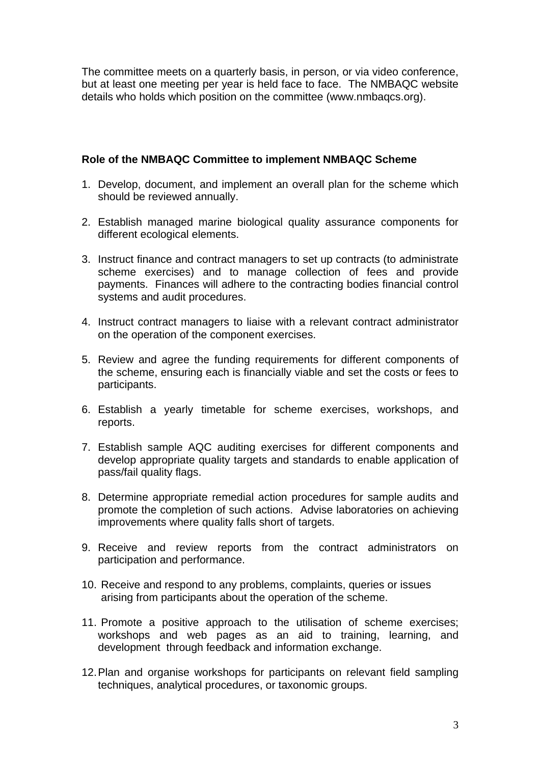The committee meets on a quarterly basis, in person, or via video conference, but at least one meeting per year is held face to face. The NMBAQC website details who holds which position on the committee (www.nmbaqcs.org).

# **Role of the NMBAQC Committee to implement NMBAQC Scheme**

- 1. Develop, document, and implement an overall plan for the scheme which should be reviewed annually.
- 2. Establish managed marine biological quality assurance components for different ecological elements.
- 3. Instruct finance and contract managers to set up contracts (to administrate scheme exercises) and to manage collection of fees and provide payments. Finances will adhere to the contracting bodies financial control systems and audit procedures.
- 4. Instruct contract managers to liaise with a relevant contract administrator on the operation of the component exercises.
- 5. Review and agree the funding requirements for different components of the scheme, ensuring each is financially viable and set the costs or fees to participants.
- 6. Establish a yearly timetable for scheme exercises, workshops, and reports.
- 7. Establish sample AQC auditing exercises for different components and develop appropriate quality targets and standards to enable application of pass/fail quality flags.
- 8. Determine appropriate remedial action procedures for sample audits and promote the completion of such actions. Advise laboratories on achieving improvements where quality falls short of targets.
- 9. Receive and review reports from the contract administrators on participation and performance.
- 10. Receive and respond to any problems, complaints, queries or issues arising from participants about the operation of the scheme.
- 11. Promote a positive approach to the utilisation of scheme exercises; workshops and web pages as an aid to training, learning, and development through feedback and information exchange.
- 12. Plan and organise workshops for participants on relevant field sampling techniques, analytical procedures, or taxonomic groups.